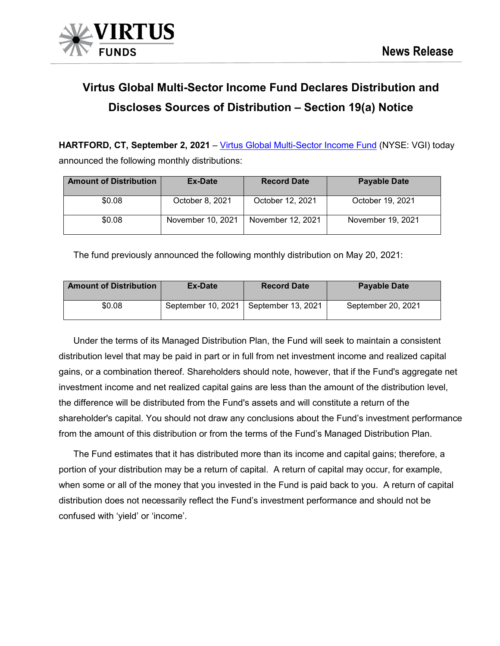

# **Virtus Global Multi-Sector Income Fund Declares Distribution and Discloses Sources of Distribution – Section 19(a) Notice**

**HARTFORD, CT, September 2, 2021** – [Virtus Global Multi-Sector Income Fund](https://www.virtus.com/products/virtus-global-multi-sector-income-fund#shareclass.N/period.quarterly) (NYSE: VGI) today announced the following monthly distributions:

| <b>Amount of Distribution</b> | Ex-Date           | <b>Record Date</b> | <b>Payable Date</b> |  |  |
|-------------------------------|-------------------|--------------------|---------------------|--|--|
| \$0.08                        | October 8, 2021   | October 12, 2021   | October 19, 2021    |  |  |
| \$0.08                        | November 10, 2021 | November 12, 2021  | November 19, 2021   |  |  |

The fund previously announced the following monthly distribution on May 20, 2021:

| <b>Amount of Distribution</b> | Ex-Date            | <b>Record Date</b> | <b>Payable Date</b> |
|-------------------------------|--------------------|--------------------|---------------------|
| \$0.08                        | September 10, 2021 | September 13, 2021 | September 20, 2021  |

Under the terms of its Managed Distribution Plan, the Fund will seek to maintain a consistent distribution level that may be paid in part or in full from net investment income and realized capital gains, or a combination thereof. Shareholders should note, however, that if the Fund's aggregate net investment income and net realized capital gains are less than the amount of the distribution level, the difference will be distributed from the Fund's assets and will constitute a return of the shareholder's capital. You should not draw any conclusions about the Fund's investment performance from the amount of this distribution or from the terms of the Fund's Managed Distribution Plan.

The Fund estimates that it has distributed more than its income and capital gains; therefore, a portion of your distribution may be a return of capital. A return of capital may occur, for example, when some or all of the money that you invested in the Fund is paid back to you. A return of capital distribution does not necessarily reflect the Fund's investment performance and should not be confused with 'yield' or 'income'.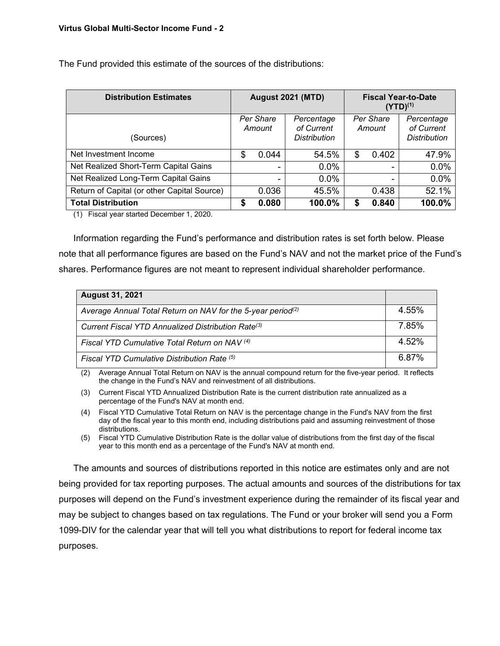| <b>Distribution Estimates</b>               |  | <b>August 2021 (MTD)</b> |                                                 |                     | <b>Fiscal Year-to-Date</b><br>$(YTD)^{(1)}$ |                                          |  |
|---------------------------------------------|--|--------------------------|-------------------------------------------------|---------------------|---------------------------------------------|------------------------------------------|--|
| (Sources)                                   |  | Per Share<br>Amount      | Percentage<br>of Current<br><b>Distribution</b> | Per Share<br>Amount |                                             | Percentage<br>of Current<br>Distribution |  |
| Net Investment Income                       |  | 0.044                    | 54.5%                                           | \$                  | 0.402                                       | 47.9%                                    |  |
| Net Realized Short-Term Capital Gains       |  | -                        | 0.0%                                            |                     |                                             | 0.0%                                     |  |
| Net Realized Long-Term Capital Gains        |  | ۰                        | 0.0%                                            |                     |                                             | 0.0%                                     |  |
| Return of Capital (or other Capital Source) |  | 0.036                    | 45.5%                                           |                     | 0.438                                       | 52.1%                                    |  |
| <b>Total Distribution</b>                   |  | 0.080                    | 100.0%                                          | \$                  | 0.840                                       | 100.0%                                   |  |

The Fund provided this estimate of the sources of the distributions:

(1) Fiscal year started December 1, 2020.

Information regarding the Fund's performance and distribution rates is set forth below. Please note that all performance figures are based on the Fund's NAV and not the market price of the Fund's shares. Performance figures are not meant to represent individual shareholder performance.

| <b>August 31, 2021</b>                                                  |       |
|-------------------------------------------------------------------------|-------|
| Average Annual Total Return on NAV for the 5-year period <sup>(2)</sup> | 4.55% |
| Current Fiscal YTD Annualized Distribution Rate <sup>(3)</sup>          | 7.85% |
| Fiscal YTD Cumulative Total Return on NAV (4)                           | 4.52% |
| Fiscal YTD Cumulative Distribution Rate (5)                             | 6.87% |

(2) Average Annual Total Return on NAV is the annual compound return for the five-year period. It reflects the change in the Fund's NAV and reinvestment of all distributions.

(3) Current Fiscal YTD Annualized Distribution Rate is the current distribution rate annualized as a percentage of the Fund's NAV at month end.

- (4) Fiscal YTD Cumulative Total Return on NAV is the percentage change in the Fund's NAV from the first day of the fiscal year to this month end, including distributions paid and assuming reinvestment of those distributions.
- (5) Fiscal YTD Cumulative Distribution Rate is the dollar value of distributions from the first day of the fiscal year to this month end as a percentage of the Fund's NAV at month end.

The amounts and sources of distributions reported in this notice are estimates only and are not being provided for tax reporting purposes. The actual amounts and sources of the distributions for tax purposes will depend on the Fund's investment experience during the remainder of its fiscal year and may be subject to changes based on tax regulations. The Fund or your broker will send you a Form 1099-DIV for the calendar year that will tell you what distributions to report for federal income tax purposes.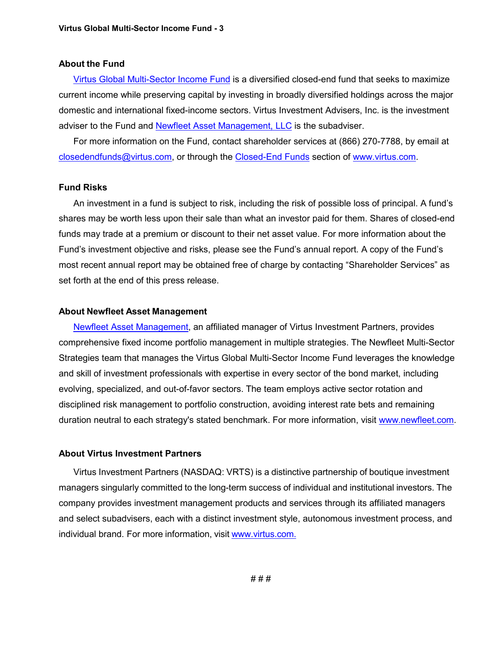## **About the Fund**

[Virtus Global Multi-Sector Income Fund](https://www.virtus.com/products/virtus-global-multi-sector-income-fund#shareclass.N/period.quarterly) is a diversified closed-end fund that seeks to maximize current income while preserving capital by investing in broadly diversified holdings across the major domestic and international fixed-income sectors. Virtus Investment Advisers, Inc. is the investment adviser to the Fund and [Newfleet Asset Management, LLC](https://www.newfleet.com/) is the subadviser.

For more information on the Fund, contact shareholder services at (866) 270-7788, by email at [closedendfunds@virtus.com,](mailto:closedendfunds@virtus.com) or through the [Closed-End Funds](https://www.virtus.com/our-products/individual-investors/closed-end-funds) section of [www.virtus.com.](https://www.virtus.com/#product.all/class.all)

## **Fund Risks**

An investment in a fund is subject to risk, including the risk of possible loss of principal. A fund's shares may be worth less upon their sale than what an investor paid for them. Shares of closed-end funds may trade at a premium or discount to their net asset value. For more information about the Fund's investment objective and risks, please see the Fund's annual report. A copy of the Fund's most recent annual report may be obtained free of charge by contacting "Shareholder Services" as set forth at the end of this press release.

#### **About Newfleet Asset Management**

**Newfleet Asset Management**, an affiliated manager of Virtus Investment Partners, provides comprehensive fixed income portfolio management in multiple strategies. The Newfleet Multi-Sector Strategies team that manages the Virtus Global Multi-Sector Income Fund leverages the knowledge and skill of investment professionals with expertise in every sector of the bond market, including evolving, specialized, and out-of-favor sectors. The team employs active sector rotation and disciplined risk management to portfolio construction, avoiding interest rate bets and remaining duration neutral to each strategy's stated benchmark. For more information, visit [www.newfleet.com.](http://www.newfleet.com/)

# **About Virtus Investment Partners**

Virtus Investment Partners (NASDAQ: VRTS) is a distinctive partnership of boutique investment managers singularly committed to the long-term success of individual and institutional investors. The company provides investment management products and services through its affiliated managers and select subadvisers, each with a distinct investment style, autonomous investment process, and individual brand. For more information, visit [www.virtus.com.](http://www.virtus.com./)